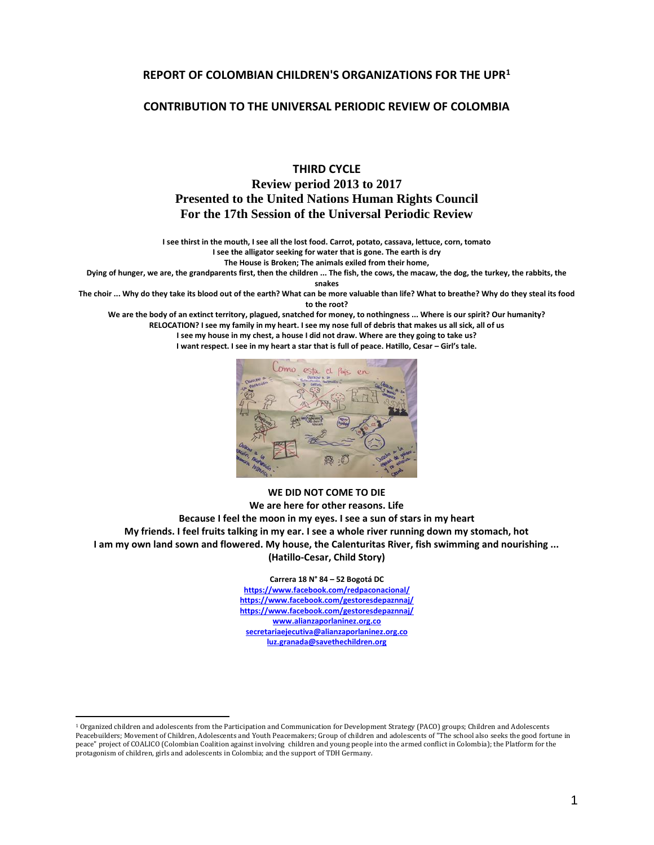#### **REPORT OF COLOMBIAN CHILDREN'S ORGANIZATIONS FOR THE UPR<sup>1</sup>**

#### **CONTRIBUTION TO THE UNIVERSAL PERIODIC REVIEW OF COLOMBIA**

#### **THIRD CYCLE Review period 2013 to 2017 Presented to the United Nations Human Rights Council For the 17th Session of the Universal Periodic Review**

**I see thirst in the mouth, I see all the lost food. Carrot, potato, cassava, lettuce, corn, tomato I see the alligator seeking for water that is gone. The earth is dry**

**The House is Broken; The animals exiled from their home,**

**Dying of hunger, we are, the grandparents first, then the children ... The fish, the cows, the macaw, the dog, the turkey, the rabbits, the** 

**snakes**

**The choir ... Why do they take its blood out of the earth? What can be more valuable than life? What to breathe? Why do they steal its food to the root?**

**We are the body of an extinct territory, plagued, snatched for money, to nothingness ... Where is our spirit? Our humanity? RELOCATION? I see my family in my heart. I see my nose full of debris that makes us all sick, all of us I see my house in my chest, a house I did not draw. Where are they going to take us?**

**I want respect. I see in my heart a star that is full of peace. Hatillo, Cesar – Girl's tale.** 



#### **WE DID NOT COME TO DIE We are here for other reasons. Life Because I feel the moon in my eyes. I see a sun of stars in my heart My friends. I feel fruits talking in my ear. I see a whole river running down my stomach, hot I am my own land sown and flowered. My house, the Calenturitas River, fish swimming and nourishing ... (Hatillo-Cesar, Child Story)**

#### **Carrera 18 N° 84 – 52 Bogotá DC**

**<https://www.facebook.com/redpaconacional/> <https://www.facebook.com/gestoresdepaznnaj/> <https://www.facebook.com/gestoresdepaznnaj/> [www.alianzaporlaninez.org.co](http://www.alianzaporlaninez.org.co/) [secretariaejecutiva@alianzaporlaninez.org.co](mailto:secretariaejecutiva@alianzaporlaninez.org.co) [luz.granada@savethechildren.org](mailto:luz.granada@savethechildren.org)**

<sup>1</sup> Organized children and adolescents from the Participation and Communication for Development Strategy (PACO) groups; Children and Adolescents Peacebuilders; Movement of Children, Adolescents and Youth Peacemakers; Group of children and adolescents of "The school also seeks the good fortune in peace" project of COALICO (Colombian Coalition against involving children and young people into the armed conflict in Colombia); the Platform for the protagonism of children, girls and adolescents in Colombia; and the support of TDH Germany.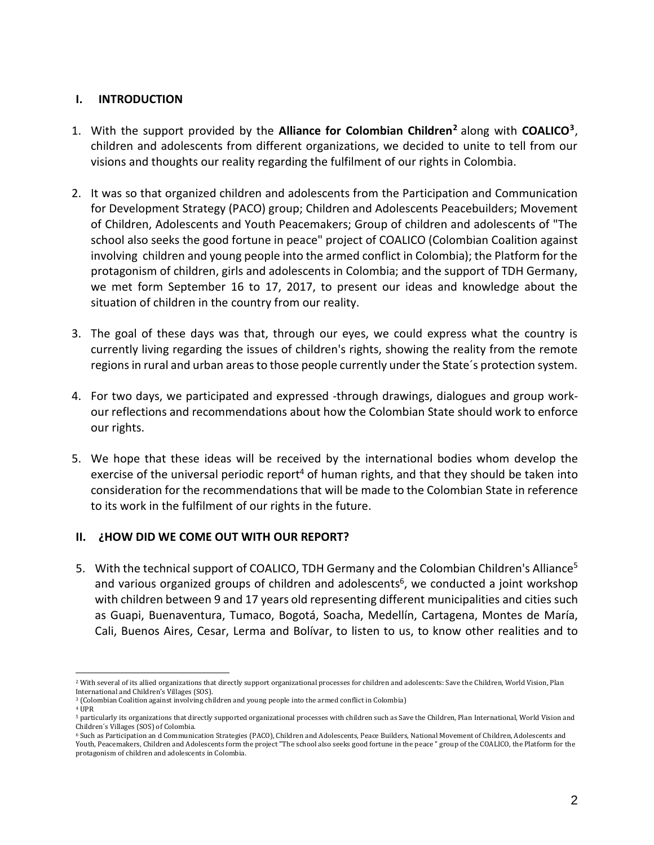## **I. INTRODUCTION**

- 1. With the support provided by the **Alliance for Colombian Children<sup>2</sup>** along with **COALICO<sup>3</sup>** , children and adolescents from different organizations, we decided to unite to tell from our visions and thoughts our reality regarding the fulfilment of our rights in Colombia.
- 2. It was so that organized children and adolescents from the Participation and Communication for Development Strategy (PACO) group; Children and Adolescents Peacebuilders; Movement of Children, Adolescents and Youth Peacemakers; Group of children and adolescents of "The school also seeks the good fortune in peace" project of COALICO (Colombian Coalition against involving children and young people into the armed conflict in Colombia); the Platform for the protagonism of children, girls and adolescents in Colombia; and the support of TDH Germany, we met form September 16 to 17, 2017, to present our ideas and knowledge about the situation of children in the country from our reality.
- 3. The goal of these days was that, through our eyes, we could express what the country is currently living regarding the issues of children's rights, showing the reality from the remote regions in rural and urban areas to those people currently under the State´s protection system.
- 4. For two days, we participated and expressed -through drawings, dialogues and group workour reflections and recommendations about how the Colombian State should work to enforce our rights.
- 5. We hope that these ideas will be received by the international bodies whom develop the exercise of the universal periodic report<sup>4</sup> of human rights, and that they should be taken into consideration for the recommendations that will be made to the Colombian State in reference to its work in the fulfilment of our rights in the future.

## **II. ¿HOW DID WE COME OUT WITH OUR REPORT?**

5. With the technical support of COALICO, TDH Germany and the Colombian Children's Alliance<sup>5</sup> and various organized groups of children and adolescents<sup>6</sup>, we conducted a joint workshop with children between 9 and 17 years old representing different municipalities and cities such as Guapi, Buenaventura, Tumaco, Bogotá, Soacha, Medellín, Cartagena, Montes de María, Cali, Buenos Aires, Cesar, Lerma and Bolívar, to listen to us, to know other realities and to

l <sup>2</sup> With several of its allied organizations that directly support organizational processes for children and adolescents: Save the Children, World Vision, Plan International and Children's Villages (SOS).

<sup>3</sup> (Colombian Coalition against involving children and young people into the armed conflict in Colombia)

 $4$  UPR

<sup>5</sup> particularly its organizations that directly supported organizational processes with children such as Save the Children, Plan International, World Vision and Children´s Villages (SOS) of Colombia.

<sup>6</sup> Such as Participation an d Communication Strategies (PACO), Children and Adolescents, Peace Builders, National Movement of Children, Adolescents and Youth, Peacemakers, Children and Adolescents form the project "The school also seeks good fortune in the peace " group of the COALICO, the Platform for the protagonism of children and adolescents in Colombia.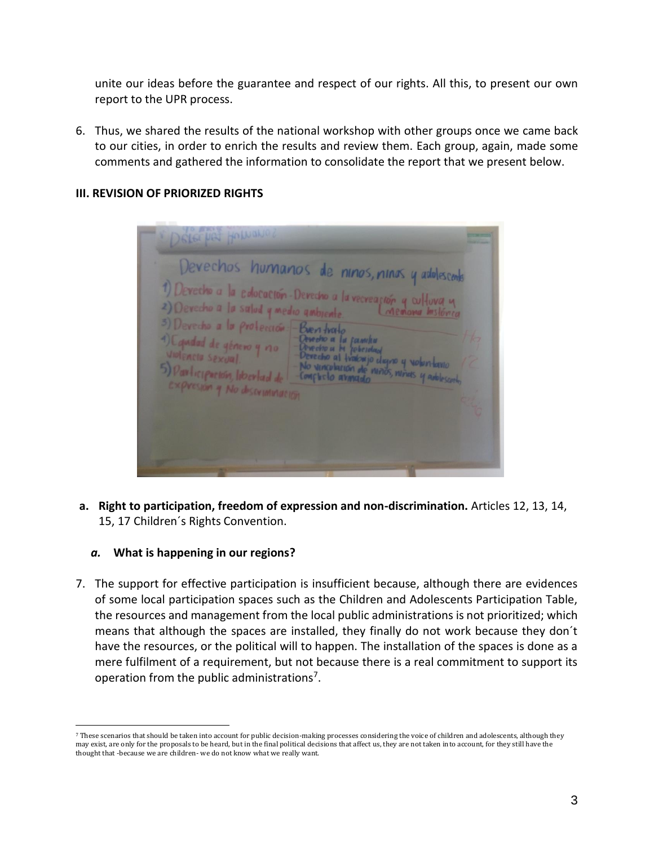unite our ideas before the guarantee and respect of our rights. All this, to present our own report to the UPR process.

6. Thus, we shared the results of the national workshop with other groups once we came back to our cities, in order to enrich the results and review them. Each group, again, made some comments and gathered the information to consolidate the report that we present below.

## **III. REVISION OF PRIORIZED RIGHTS**

| Devechos humanos de ninos, ninos y adolescento<br>1) Devectio a la edocación Devectio a la vecreación y cultura y<br>3) Devecto a la protección - Bueri troito<br>4) Camdad de género y vio - Observo a la formular<br>1) Violencia Sexual.<br>5) Participación, libertad de - Mo vincolarión de nunos, nunas y adolescerto.<br>Expression y No discussionation | 8 |
|-----------------------------------------------------------------------------------------------------------------------------------------------------------------------------------------------------------------------------------------------------------------------------------------------------------------------------------------------------------------|---|
|-----------------------------------------------------------------------------------------------------------------------------------------------------------------------------------------------------------------------------------------------------------------------------------------------------------------------------------------------------------------|---|

**a. Right to participation, freedom of expression and non-discrimination.** Articles 12, 13, 14, 15, 17 Children´s Rights Convention.

#### *a.* **What is happening in our regions?**

l

7. The support for effective participation is insufficient because, although there are evidences of some local participation spaces such as the Children and Adolescents Participation Table, the resources and management from the local public administrations is not prioritized; which means that although the spaces are installed, they finally do not work because they don´t have the resources, or the political will to happen. The installation of the spaces is done as a mere fulfilment of a requirement, but not because there is a real commitment to support its operation from the public administrations<sup>7</sup>.

<sup>7</sup> These scenarios that should be taken into account for public decision-making processes considering the voice of children and adolescents, although they may exist, are only for the proposals to be heard, but in the final political decisions that affect us, they are not taken into account, for they still have the thought that -because we are children- we do not know what we really want.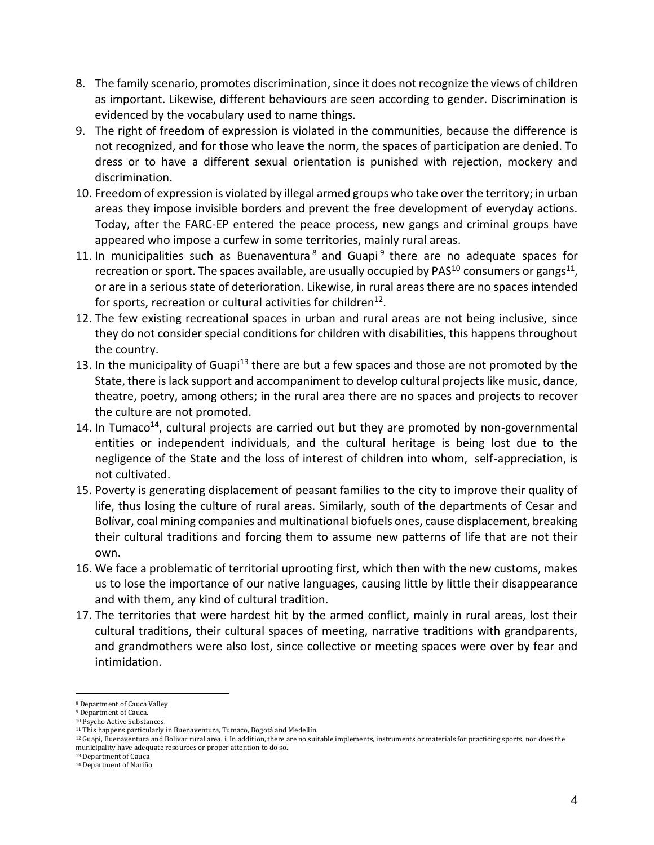- 8. The family scenario, promotes discrimination, since it does not recognize the views of children as important. Likewise, different behaviours are seen according to gender. Discrimination is evidenced by the vocabulary used to name things.
- 9. The right of freedom of expression is violated in the communities, because the difference is not recognized, and for those who leave the norm, the spaces of participation are denied. To dress or to have a different sexual orientation is punished with rejection, mockery and discrimination.
- 10. Freedom of expression is violated by illegal armed groups who take over the territory; in urban areas they impose invisible borders and prevent the free development of everyday actions. Today, after the FARC-EP entered the peace process, new gangs and criminal groups have appeared who impose a curfew in some territories, mainly rural areas.
- 11. In municipalities such as Buenaventura<sup>8</sup> and Guapi<sup>9</sup> there are no adequate spaces for recreation or sport. The spaces available, are usually occupied by PAS<sup>10</sup> consumers or gangs<sup>11</sup>, or are in a serious state of deterioration. Likewise, in rural areas there are no spaces intended for sports, recreation or cultural activities for children $^{12}$ .
- 12. The few existing recreational spaces in urban and rural areas are not being inclusive, since they do not consider special conditions for children with disabilities, this happens throughout the country.
- 13. In the municipality of Guapi<sup>13</sup> there are but a few spaces and those are not promoted by the State, there is lack support and accompaniment to develop cultural projects like music, dance, theatre, poetry, among others; in the rural area there are no spaces and projects to recover the culture are not promoted.
- 14. In Tumaco<sup>14</sup>, cultural projects are carried out but they are promoted by non-governmental entities or independent individuals, and the cultural heritage is being lost due to the negligence of the State and the loss of interest of children into whom, self-appreciation, is not cultivated.
- 15. Poverty is generating displacement of peasant families to the city to improve their quality of life, thus losing the culture of rural areas. Similarly, south of the departments of Cesar and Bolívar, coal mining companies and multinational biofuels ones, cause displacement, breaking their cultural traditions and forcing them to assume new patterns of life that are not their own.
- 16. We face a problematic of territorial uprooting first, which then with the new customs, makes us to lose the importance of our native languages, causing little by little their disappearance and with them, any kind of cultural tradition.
- 17. The territories that were hardest hit by the armed conflict, mainly in rural areas, lost their cultural traditions, their cultural spaces of meeting, narrative traditions with grandparents, and grandmothers were also lost, since collective or meeting spaces were over by fear and intimidation.

<sup>8</sup> Department of Cauca Valley

<sup>9</sup> Department of Cauca.

<sup>10</sup> Psycho Active Substances.

<sup>&</sup>lt;sup>11</sup> This happens particularly in Buenaventura, Tumaco, Bogotá and Medellín.

<sup>12</sup> Guapi, Buenaventura and Bolivar rural area. i. In addition, there are no suitable implements, instruments or materials for practicing sports, nor does the municipality have adequate resources or proper attention to do so.

<sup>13</sup> Department of Cauca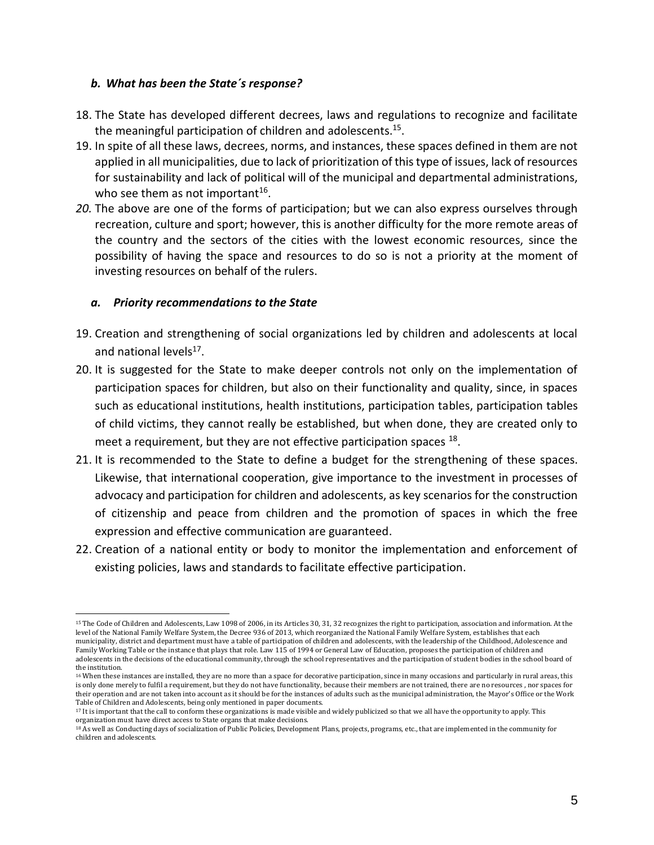#### *b. What has been the State´s response?*

- 18. The State has developed different decrees, laws and regulations to recognize and facilitate the meaningful participation of children and adolescents.<sup>15</sup>.
- 19. In spite of all these laws, decrees, norms, and instances, these spaces defined in them are not applied in all municipalities, due to lack of prioritization of this type of issues, lack of resources for sustainability and lack of political will of the municipal and departmental administrations, who see them as not important $^{16}$ .
- *20.* The above are one of the forms of participation; but we can also express ourselves through recreation, culture and sport; however, this is another difficulty for the more remote areas of the country and the sectors of the cities with the lowest economic resources, since the possibility of having the space and resources to do so is not a priority at the moment of investing resources on behalf of the rulers.

#### *a. Priority recommendations to the State*

- 19. Creation and strengthening of social organizations led by children and adolescents at local and national levels<sup>17</sup>.
- 20. It is suggested for the State to make deeper controls not only on the implementation of participation spaces for children, but also on their functionality and quality, since, in spaces such as educational institutions, health institutions, participation tables, participation tables of child victims, they cannot really be established, but when done, they are created only to meet a requirement, but they are not effective participation spaces <sup>18</sup>.
- 21. It is recommended to the State to define a budget for the strengthening of these spaces. Likewise, that international cooperation, give importance to the investment in processes of advocacy and participation for children and adolescents, as key scenarios for the construction of citizenship and peace from children and the promotion of spaces in which the free expression and effective communication are guaranteed.
- 22. Creation of a national entity or body to monitor the implementation and enforcement of existing policies, laws and standards to facilitate effective participation.

l <sup>15</sup> The Code of Children and Adolescents, Law 1098 of 2006, in its Articles 30, 31, 32 recognizes the right to participation, association and information. At the level of the National Family Welfare System, the Decree 936 of 2013, which reorganized the National Family Welfare System, establishes that each municipality, district and department must have a table of participation of children and adolescents, with the leadership of the Childhood, Adolescence and Family Working Table or the instance that plays that role. Law 115 of 1994 or General Law of Education, proposes the participation of children and adolescents in the decisions of the educational community, through the school representatives and the participation of student bodies in the school board of the institution.

<sup>&</sup>lt;sup>16</sup> When these instances are installed, they are no more than a space for decorative participation, since in many occasions and particularly in rural areas, this is only done merely to fulfil a requirement, but they do not have functionality, because their members are not trained, there are no resources , nor spaces for their operation and are not taken into account as it should be for the instances of adults such as the municipal administration, the Mayor's Office or the Work Table of Children and Adolescents, being only mentioned in paper documents.

<sup>17</sup> It is important that the call to conform these organizations is made visible and widely publicized so that we all have the opportunity to apply. This organization must have direct access to State organs that make decisions.

<sup>18</sup> As well as Conducting days of socialization of Public Policies, Development Plans, projects, programs, etc., that are implemented in the community for children and adolescents.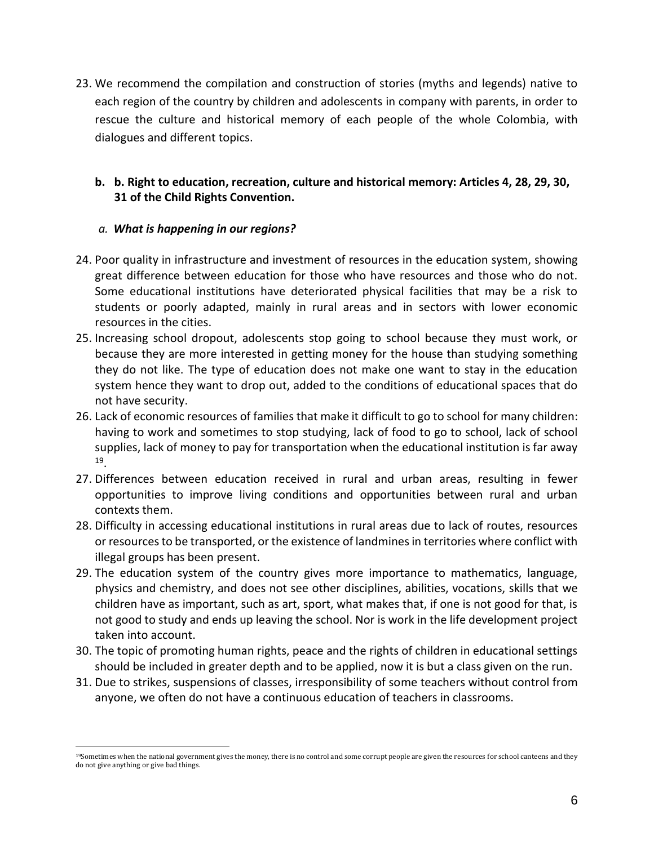23. We recommend the compilation and construction of stories (myths and legends) native to each region of the country by children and adolescents in company with parents, in order to rescue the culture and historical memory of each people of the whole Colombia, with dialogues and different topics.

# **b. b. Right to education, recreation, culture and historical memory: Articles 4, 28, 29, 30, 31 of the Child Rights Convention.**

## *a. What is happening in our regions?*

- 24. Poor quality in infrastructure and investment of resources in the education system, showing great difference between education for those who have resources and those who do not. Some educational institutions have deteriorated physical facilities that may be a risk to students or poorly adapted, mainly in rural areas and in sectors with lower economic resources in the cities.
- 25. Increasing school dropout, adolescents stop going to school because they must work, or because they are more interested in getting money for the house than studying something they do not like. The type of education does not make one want to stay in the education system hence they want to drop out, added to the conditions of educational spaces that do not have security.
- 26. Lack of economic resources of families that make it difficult to go to school for many children: having to work and sometimes to stop studying, lack of food to go to school, lack of school supplies, lack of money to pay for transportation when the educational institution is far away 19 .
- 27. Differences between education received in rural and urban areas, resulting in fewer opportunities to improve living conditions and opportunities between rural and urban contexts them.
- 28. Difficulty in accessing educational institutions in rural areas due to lack of routes, resources or resources to be transported, or the existence of landmines in territories where conflict with illegal groups has been present.
- 29. The education system of the country gives more importance to mathematics, language, physics and chemistry, and does not see other disciplines, abilities, vocations, skills that we children have as important, such as art, sport, what makes that, if one is not good for that, is not good to study and ends up leaving the school. Nor is work in the life development project taken into account.
- 30. The topic of promoting human rights, peace and the rights of children in educational settings should be included in greater depth and to be applied, now it is but a class given on the run.
- 31. Due to strikes, suspensions of classes, irresponsibility of some teachers without control from anyone, we often do not have a continuous education of teachers in classrooms.

l <sup>19</sup>Sometimes when the national government gives the money, there is no control and some corrupt people are given the resources for school canteens and they do not give anything or give bad things.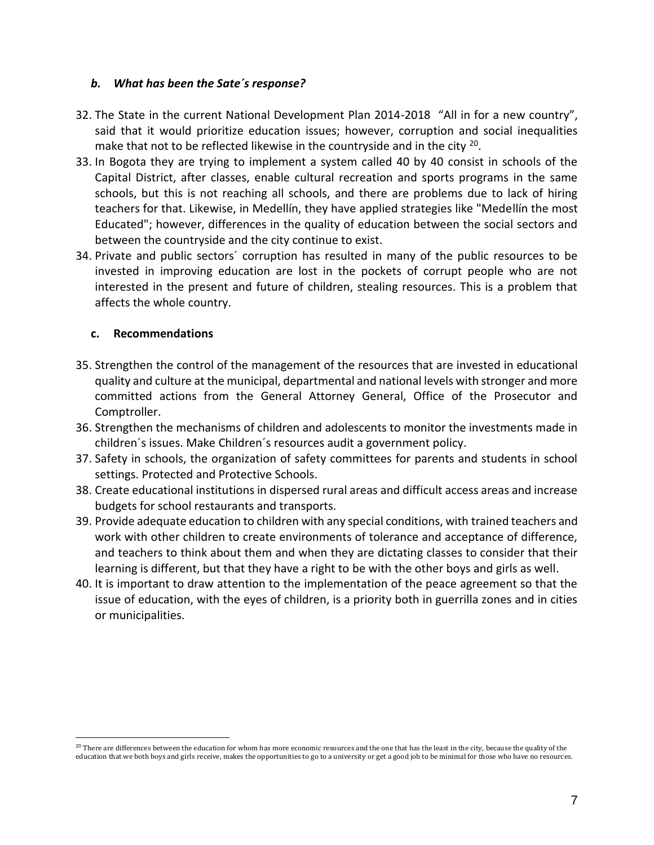#### *b. What has been the Sate´s response?*

- 32. The State in the current National Development Plan 2014-2018 "All in for a new country", said that it would prioritize education issues; however, corruption and social inequalities make that not to be reflected likewise in the countryside and in the city  $^{20}$ .
- 33. In Bogota they are trying to implement a system called 40 by 40 consist in schools of the Capital District, after classes, enable cultural recreation and sports programs in the same schools, but this is not reaching all schools, and there are problems due to lack of hiring teachers for that. Likewise, in Medellín, they have applied strategies like "Medellín the most Educated"; however, differences in the quality of education between the social sectors and between the countryside and the city continue to exist.
- 34. Private and public sectors´ corruption has resulted in many of the public resources to be invested in improving education are lost in the pockets of corrupt people who are not interested in the present and future of children, stealing resources. This is a problem that affects the whole country.

## **c. Recommendations**

- 35. Strengthen the control of the management of the resources that are invested in educational quality and culture at the municipal, departmental and national levels with stronger and more committed actions from the General Attorney General, Office of the Prosecutor and Comptroller.
- 36. Strengthen the mechanisms of children and adolescents to monitor the investments made in children´s issues. Make Children´s resources audit a government policy.
- 37. Safety in schools, the organization of safety committees for parents and students in school settings. Protected and Protective Schools.
- 38. Create educational institutions in dispersed rural areas and difficult access areas and increase budgets for school restaurants and transports.
- 39. Provide adequate education to children with any special conditions, with trained teachers and work with other children to create environments of tolerance and acceptance of difference, and teachers to think about them and when they are dictating classes to consider that their learning is different, but that they have a right to be with the other boys and girls as well.
- 40. It is important to draw attention to the implementation of the peace agreement so that the issue of education, with the eyes of children, is a priority both in guerrilla zones and in cities or municipalities.

 $^{20}$  There are differences between the education for whom has more economic resources and the one that has the least in the city, because the quality of the education that we both boys and girls receive, makes the opportunities to go to a university or get a good job to be minimal for those who have no resources.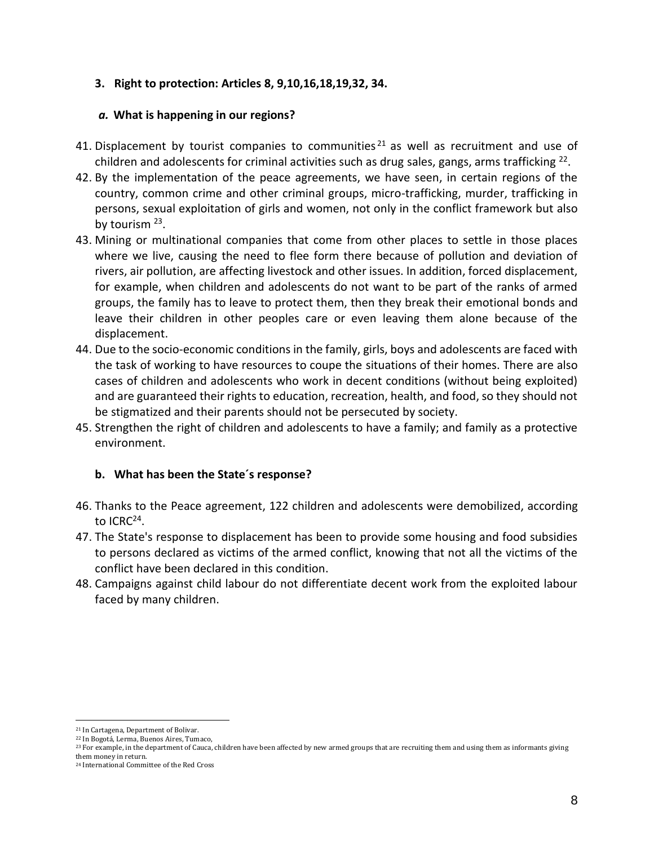## **3. Right to protection: Articles 8, 9,10,16,18,19,32, 34.**

## *a.* **What is happening in our regions?**

- 41. Displacement by tourist companies to communities<sup>21</sup> as well as recruitment and use of children and adolescents for criminal activities such as drug sales, gangs, arms trafficking  $^{22}$ .
- 42. By the implementation of the peace agreements, we have seen, in certain regions of the country, common crime and other criminal groups, micro-trafficking, murder, trafficking in persons, sexual exploitation of girls and women, not only in the conflict framework but also by tourism <sup>23</sup>.
- 43. Mining or multinational companies that come from other places to settle in those places where we live, causing the need to flee form there because of pollution and deviation of rivers, air pollution, are affecting livestock and other issues. In addition, forced displacement, for example, when children and adolescents do not want to be part of the ranks of armed groups, the family has to leave to protect them, then they break their emotional bonds and leave their children in other peoples care or even leaving them alone because of the displacement.
- 44. Due to the socio-economic conditions in the family, girls, boys and adolescents are faced with the task of working to have resources to coupe the situations of their homes. There are also cases of children and adolescents who work in decent conditions (without being exploited) and are guaranteed their rights to education, recreation, health, and food, so they should not be stigmatized and their parents should not be persecuted by society.
- 45. Strengthen the right of children and adolescents to have a family; and family as a protective environment.

## **b. What has been the State´s response?**

- 46. Thanks to the Peace agreement, 122 children and adolescents were demobilized, according to ICRC<sup>24</sup>.
- 47. The State's response to displacement has been to provide some housing and food subsidies to persons declared as victims of the armed conflict, knowing that not all the victims of the conflict have been declared in this condition.
- 48. Campaigns against child labour do not differentiate decent work from the exploited labour faced by many children.

<sup>21</sup> In Cartagena, Department of Bolivar.

<sup>22</sup> In Bogotá, Lerma, Buenos Aires, Tumaco,

<sup>&</sup>lt;sup>23</sup> For example, in the department of Cauca, children have been affected by new armed groups that are recruiting them and using them as informants giving

them money in return. <sup>24</sup> International Committee of the Red Cross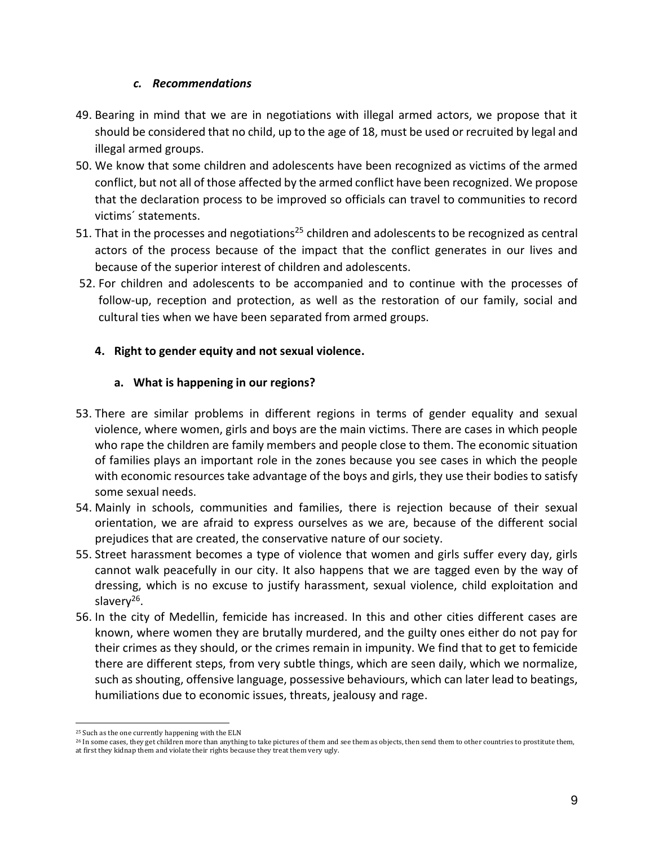## *c. Recommendations*

- 49. Bearing in mind that we are in negotiations with illegal armed actors, we propose that it should be considered that no child, up to the age of 18, must be used or recruited by legal and illegal armed groups.
- 50. We know that some children and adolescents have been recognized as victims of the armed conflict, but not all of those affected by the armed conflict have been recognized. We propose that the declaration process to be improved so officials can travel to communities to record victims´ statements.
- 51. That in the processes and negotiations<sup>25</sup> children and adolescents to be recognized as central actors of the process because of the impact that the conflict generates in our lives and because of the superior interest of children and adolescents.
- 52. For children and adolescents to be accompanied and to continue with the processes of follow-up, reception and protection, as well as the restoration of our family, social and cultural ties when we have been separated from armed groups.

# **4. Right to gender equity and not sexual violence.**

# **a. What is happening in our regions?**

- 53. There are similar problems in different regions in terms of gender equality and sexual violence, where women, girls and boys are the main victims. There are cases in which people who rape the children are family members and people close to them. The economic situation of families plays an important role in the zones because you see cases in which the people with economic resources take advantage of the boys and girls, they use their bodies to satisfy some sexual needs.
- 54. Mainly in schools, communities and families, there is rejection because of their sexual orientation, we are afraid to express ourselves as we are, because of the different social prejudices that are created, the conservative nature of our society.
- 55. Street harassment becomes a type of violence that women and girls suffer every day, girls cannot walk peacefully in our city. It also happens that we are tagged even by the way of dressing, which is no excuse to justify harassment, sexual violence, child exploitation and slavery<sup>26</sup>.
- 56. In the city of Medellin, femicide has increased. In this and other cities different cases are known, where women they are brutally murdered, and the guilty ones either do not pay for their crimes as they should, or the crimes remain in impunity. We find that to get to femicide there are different steps, from very subtle things, which are seen daily, which we normalize, such as shouting, offensive language, possessive behaviours, which can later lead to beatings, humiliations due to economic issues, threats, jealousy and rage.

l <sup>25</sup> Such as the one currently happening with the ELN

<sup>&</sup>lt;sup>26</sup> In some cases, they get children more than anything to take pictures of them and see them as objects, then send them to other countries to prostitute them, at first they kidnap them and violate their rights because they treat them very ugly.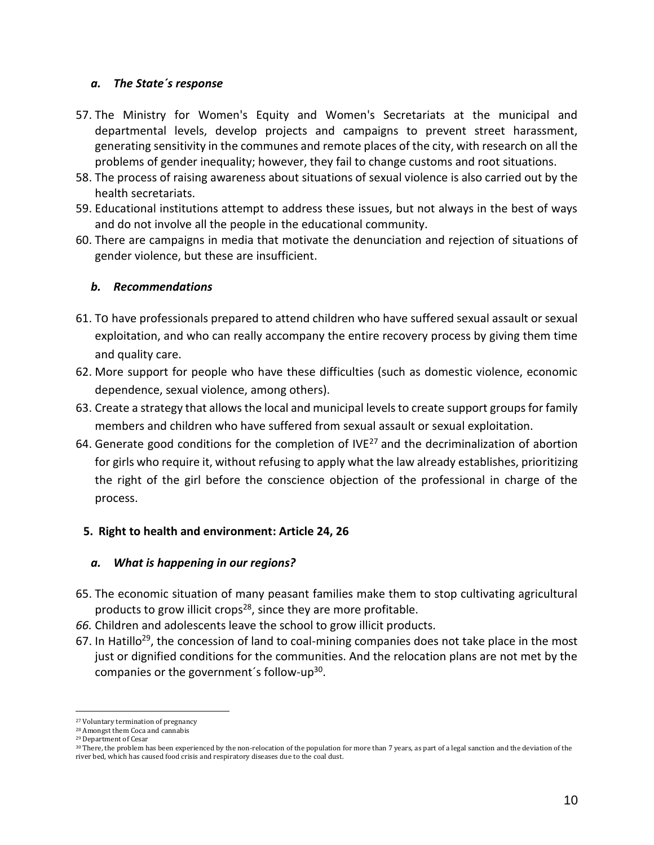## *a. The State´s response*

- 57. The Ministry for Women's Equity and Women's Secretariats at the municipal and departmental levels, develop projects and campaigns to prevent street harassment, generating sensitivity in the communes and remote places of the city, with research on all the problems of gender inequality; however, they fail to change customs and root situations.
- 58. The process of raising awareness about situations of sexual violence is also carried out by the health secretariats.
- 59. Educational institutions attempt to address these issues, but not always in the best of ways and do not involve all the people in the educational community.
- 60. There are campaigns in media that motivate the denunciation and rejection of situations of gender violence, but these are insufficient.

## *b. Recommendations*

- 61. To have professionals prepared to attend children who have suffered sexual assault or sexual exploitation, and who can really accompany the entire recovery process by giving them time and quality care.
- 62. More support for people who have these difficulties (such as domestic violence, economic dependence, sexual violence, among others).
- 63. Create a strategy that allows the local and municipal levels to create support groups for family members and children who have suffered from sexual assault or sexual exploitation.
- 64. Generate good conditions for the completion of IVE<sup>27</sup> and the decriminalization of abortion for girls who require it, without refusing to apply what the law already establishes, prioritizing the right of the girl before the conscience objection of the professional in charge of the process.

# **5. Right to health and environment: Article 24, 26**

## *a. What is happening in our regions?*

- 65. The economic situation of many peasant families make them to stop cultivating agricultural products to grow illicit crops<sup>28</sup>, since they are more profitable.
- *66.* Children and adolescents leave the school to grow illicit products.
- 67. In Hatillo<sup>29</sup>, the concession of land to coal-mining companies does not take place in the most just or dignified conditions for the communities. And the relocation plans are not met by the companies or the government's follow-up<sup>30</sup>.

l <sup>27</sup> Voluntary termination of pregnancy

<sup>28</sup> Amongst them Coca and cannabis

<sup>29</sup> Department of Cesar

<sup>&</sup>lt;sup>30</sup> There, the problem has been experienced by the non-relocation of the population for more than 7 years, as part of a legal sanction and the deviation of the river bed, which has caused food crisis and respiratory diseases due to the coal dust.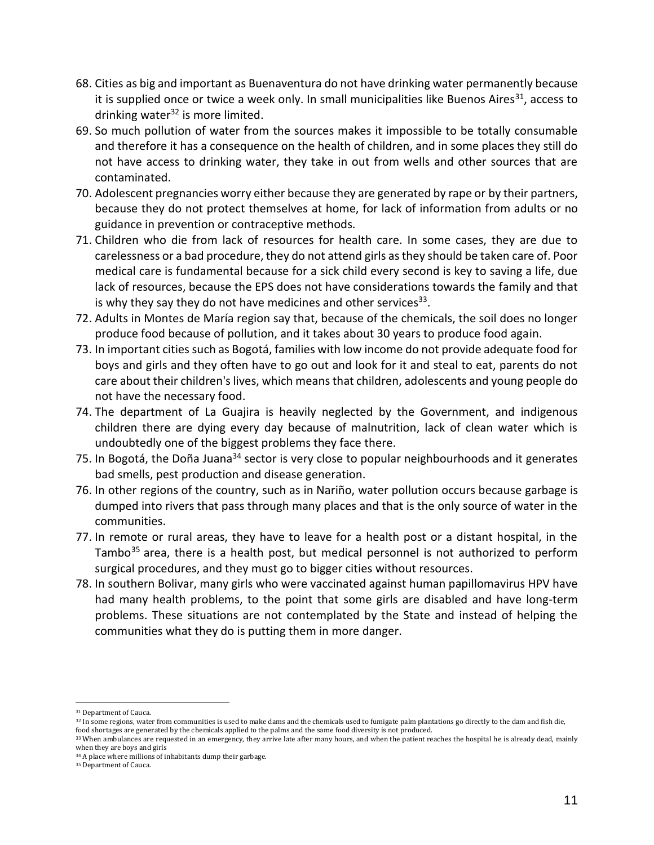- 68. Cities as big and important as Buenaventura do not have drinking water permanently because it is supplied once or twice a week only. In small municipalities like Buenos Aires<sup>31</sup>, access to drinking water<sup>32</sup> is more limited.
- 69. So much pollution of water from the sources makes it impossible to be totally consumable and therefore it has a consequence on the health of children, and in some places they still do not have access to drinking water, they take in out from wells and other sources that are contaminated.
- 70. Adolescent pregnancies worry either because they are generated by rape or by their partners, because they do not protect themselves at home, for lack of information from adults or no guidance in prevention or contraceptive methods.
- 71. Children who die from lack of resources for health care. In some cases, they are due to carelessness or a bad procedure, they do not attend girls as they should be taken care of. Poor medical care is fundamental because for a sick child every second is key to saving a life, due lack of resources, because the EPS does not have considerations towards the family and that is why they say they do not have medicines and other services<sup>33</sup>.
- 72. Adults in Montes de María region say that, because of the chemicals, the soil does no longer produce food because of pollution, and it takes about 30 years to produce food again.
- 73. In important cities such as Bogotá, families with low income do not provide adequate food for boys and girls and they often have to go out and look for it and steal to eat, parents do not care about their children's lives, which means that children, adolescents and young people do not have the necessary food.
- 74. The department of La Guajira is heavily neglected by the Government, and indigenous children there are dying every day because of malnutrition, lack of clean water which is undoubtedly one of the biggest problems they face there.
- 75. In Bogotá, the Doña Juana<sup>34</sup> sector is very close to popular neighbourhoods and it generates bad smells, pest production and disease generation.
- 76. In other regions of the country, such as in Nariño, water pollution occurs because garbage is dumped into rivers that pass through many places and that is the only source of water in the communities.
- 77. In remote or rural areas, they have to leave for a health post or a distant hospital, in the Tambo $35$  area, there is a health post, but medical personnel is not authorized to perform surgical procedures, and they must go to bigger cities without resources.
- 78. In southern Bolivar, many girls who were vaccinated against human papillomavirus HPV have had many health problems, to the point that some girls are disabled and have long-term problems. These situations are not contemplated by the State and instead of helping the communities what they do is putting them in more danger.

<sup>31</sup> Department of Cauca.

<sup>&</sup>lt;sup>32</sup> In some regions, water from communities is used to make dams and the chemicals used to fumigate palm plantations go directly to the dam and fish die, food shortages are generated by the chemicals applied to the palms and the same food diversity is not produced.

<sup>33</sup> When ambulances are requested in an emergency, they arrive late after many hours, and when the patient reaches the hospital he is already dead, mainly when they are boys and girls

<sup>34</sup> A place where millions of inhabitants dump their garbage.

<sup>35</sup> Department of Cauca.